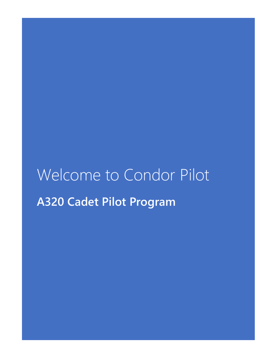# Welcome to Condor Pilot **A320 Cadet Pilot Program**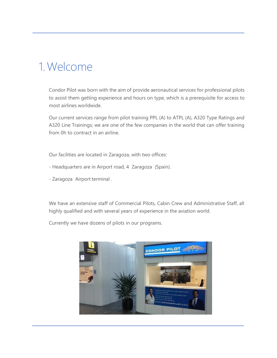### 1.Welcome

Condor Pilot was born with the aim of provide aeronautical services for professional pilots to assist them getting experience and hours on type, which is a prerequisite for access to most airlines worldwide.

Our current services range from pilot training PPL (A) to ATPL (A), A320 Type Ratings and A320 Line Trainings; we are one of the few companies in the world that can offer training from 0h to contract in an airline.

Our facilities are located in Zaragoza, with two offices:

- Headquarters are in Airport road, 4 Zaragoza (Spain).
- Zaragoza Airport terminal .

We have an extensive staff of Commercial Pilots, Cabin Crew and Administrative Staff, all highly qualified and with several years of experience in the aviation world.

Currently we have dozens of pilots in our programs.

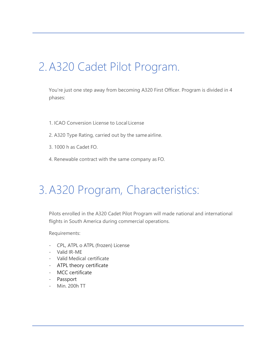## 2.A320 Cadet Pilot Program.

You're just one step away from becoming A320 First Officer. Program is divided in 4 phases:

- 1. ICAO Conversion License to Local License
- 2. A320 Type Rating, carried out by the same airline.
- 3. 1000 h as Cadet FO.
- 4. Renewable contract with the same company as FO.

### 3.A320 Program, Characteristics:

Pilots enrolled in the A320 Cadet Pilot Program will made national and international flights in South America during commercial operations.

Requirements:

- CPL, ATPL o ATPL (frozen) License
- Valid IR-ME
- Valid Medical certificate
- ATPL theory certificate
- MCC certificate
- Passport
- Min. 200h TT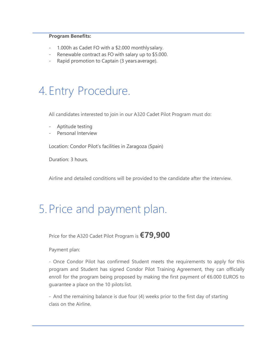#### **Program Benefits:**

- 1.000h as Cadet FO with a \$2.000 monthly salary.
- Renewable contract as FO with salary up to \$5.000.
- Rapid promotion to Captain (3 years average).

### 4. Entry Procedure.

All candidates interested to join in our A320 Cadet Pilot Program must do:

- Aptitude testing
- Personal Interview

Location: Condor Pilot's facilities in Zaragoza (Spain)

Duration: 3 hours.

Airline and detailed conditions will be provided to the candidate after the interview.

### 5. Price and payment plan.

Price for the A320 Cadet Pilot Program is **€79,900**

Payment plan:

- Once Condor Pilot has confirmed Student meets the requirements to apply for this program and Student has signed Condor Pilot Training Agreement, they can officially enroll for the program being proposed by making the first payment of €6.000 EUROS to guarantee a place on the 10 pilots list.

- And the remaining balance is due four (4) weeks prior to the first day of starting class on the Airline.